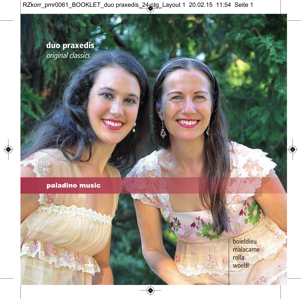# **duo praxedis** original classics

**COD** 

**WARGAIN** 

## paladino music



boieldieu malacarne rolla woelfl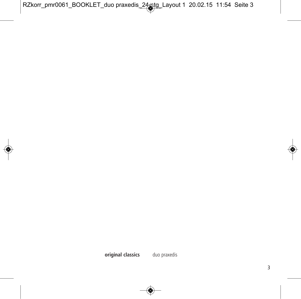**original classics** duo praxedis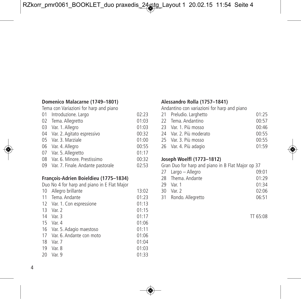#### **Domenico Malacarne (1749–1801)**

Tema con Variazioni for harp and piano

| 01 Introduzione. Largo               | 02:23 |
|--------------------------------------|-------|
| 02 Tema. Allegretto                  | 01:03 |
| 03 Var. 1. Allegro                   | 01:03 |
| 04 Var. 2. Agitato espressivo        | 00:32 |
| 05 Var. 3. Marziale                  | 01:00 |
| 06 Var. 4. Allegro                   | 00:55 |
| 07 Var. 5. Allegretto                | 01:17 |
| 08 Var. 6. Minore. Prestissimo       | 00:32 |
| 09 Var. 7. Finale. Andante pastorale | 02:53 |

#### **François-Adrien Boieldieu (1775–1834)**

Duo No 4 for harp and piano in E Flat Major 10 Allegro brillante 13:02 11 Tema. Andante 01:23 12 Var. 1. Con espressione 01:13 13 Var. 2 01:15<br>14 Var. 3 01:17 14 Var. 3 01:17<br>15 Var. 4 01:06 15 Var. 4 16 Var. 5. Adagio maestoso 01:11 17 Var. 6. Andante con moto 01:06

18 Var. 7 01:04<br>19 Var. 8 01:03 01:03 19 Var. 8 01:03<br>20 Var. 9 01:33 20 Var. 9

#### **Alessandro Rolla (1757–1841)**

Andantino con variazioni for harp and piano

| 21 Preludio. Larghetto  | 01:25 |
|-------------------------|-------|
| 22 Tema, Andantino      | 00:57 |
| 23 Var. 1. Più mosso    | 00:46 |
| 24 Var. 2. Più moderato | 00:55 |
| 25 Var. 3. Più mosso    | 00:55 |
| 26 Var. 4. Più adagio   | 01:59 |

#### **Joseph Woelfl (1773–1812)**

Gran Duo for harp and piano in B Flat Major op 37

| 09:01 |
|-------|
| 01:29 |
| 01:34 |
| 02:06 |
| 06:51 |
|       |

TT 65:08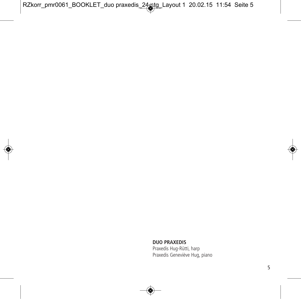### **DUO PRAXEDIS**

Praxedis Hug-Rütti, harp Praxedis Geneviève Hug, piano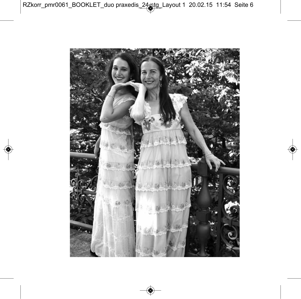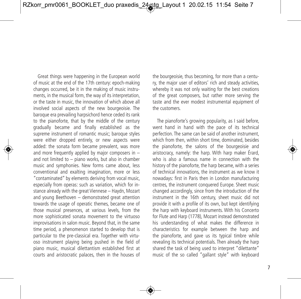Great things were happening in the European world of music at the end of the 17th century: epoch-making changes occurred, be it in the making of music instruments, in the musical form, the way of its interpretation, or the taste in music, the innovation of which above all involved social aspects of the new bourgeoisie. The baroque era prevailing harpsichord hence ceded its rank to the pianoforte, that by the middle of the century gradually became and finally established as the supreme instrument of romantic music; baroque styles were either dropped entirely, or new aspects were added: the sonata form became prevalent, was more and more frequently applied by major composers in  $$ and not limited to – piano works, but also in chamber music and symphonies. New forms came about, less conventional and exalting imagination, more or less "contaminated" by elements deriving from vocal music, especially from operas: such as variation, which for instance already with the great Viennese – Haydn, Mozart and young Beethoven – demonstrated great attention towards the usage of operatic themes, became one of those musical presences, at various levels, from the more sophisticated sonata movement to the virtuoso improvisations in salon music. Beyond that, in the same time period, a phenomenon started to develop that is particular to the pre-classical era. Together with virtuoso instrument playing being pushed in the field of piano music, musical dilettantism established first at courts and aristocratic palaces, then in the houses of

the bourgeoisie, thus becoming, for more than a century, the major user of editors' rich and steady activities, whereby it was not only waiting for the best creations of the great composers, but rather more serving the taste and the ever modest instrumental equipment of the customers.

The pianoforte's growing popularity, as I said before, went hand in hand with the pace of its technical perfection. The same can be said of another instrument, which from then, within short time, dominated, besides the pianoforte, the salons of the bourgeoisie and aristocracy, namely: the harp. With harp maker Érard, who is also a famous name in connection with the history of the pianoforte, the harp became, with a series of technical innovations, the instrument as we know it nowadays: first in Paris then in London manufacturing centres, the instrument conquered Europe. Sheet music changed accordingly, since from the introduction of the instrument in the 16th century, sheet music did not provide it with a profile of its own, but kept identifying the harp with keyboard instruments. With his Concerto for Flute and Harp (1778), Mozart instead demonstrated his understanding of what makes the difference in characteristics for example between the harp and the pianoforte, and gave us its typical timbre while revealing its technical potentials. Then already the harp shared the task of being used to interpret "dilettante" music of the so called "gallant style" with keyboard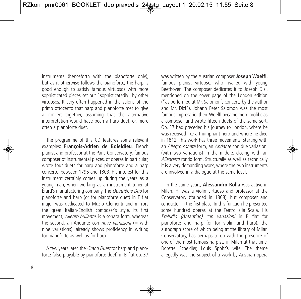instruments (henceforth with the pianoforte only), but as it otherwise follows the pianoforte, the harp is good enough to satisfy famous virtuosos with more sophisticated pieces set out "sophisticatedly" by other virtuosos. It very often happened in the salons of the primo ottocento that harp and pianoforte met to give a concert together, assuming that the alternative interpretation would have been a harp duet, or, more often a pianoforte duet.

The programme of this CD features some relevant examples: **François-Adrien de Boieldieu**, French pianist and professor at the Paris Conservatory, famous composer of instrumental pieces, of operas in particular, wrote four duets for harp and pianoforte and a harp concerto, between 1796 and 1803. His interest for this instrument certainly comes up during the years as a young man, when working as an instrument tuner at Érard's manufacturing company. The Quatrième Duo for pianoforte and harp (or for pianoforte duet) in E flat major was dedicated to Muzio Clementi and mirrors the great Italian-English composer's style. Its first movement, Allegro brillante, is a sonata form, whereas the second, an Andante con *nove variazioni* (= with nine variations), already shows proficiency in writing for pianoforte as well as for harp.

A few years later, the Grand Duett for harp and pianoforte (also playable by pianoforte duet) in B flat op. 37 was written by the Austrian composer **Joseph Woelfl**, famous pianist virtuoso, who rivalled with young Beethoven. The composer dedicates it to Joseph Dizi, mentioned on the cover page of the London edition ("as performed at Mr. Salomon's concerts by the author and Mr. Dizi"). Johann Peter Salomon was the most famous impresario, then. Woelfl became more prolific as a composer and wrote fifteen duets of the same sort. Op. 37 had preceded his journey to London, where he was received like a triumphant hero and where he died in 1812. This work has three movements, starting with an Allegro sonata form, an Andante con due variazioni (with two variations) in the middle, closing with an Allegretto rondo form. Structurally as well as technically it is a very demanding work, where the two instruments are involved in a dialogue at the same level.

In the same years, **Alessandro Rolla** was active in Milan. Hi was a violin virtuoso and professor at the Conservatory (founded in 1808), but composer and conductor in the first place. In this function he presented some hundred operas at the Teatro alla Scala. His Preludio (Antantino) con variazioni in B flat for pianoforte and harp (or for violin and harp), the autograph score of which being at the library of Milan Conservatory, has perhaps to do with the presence of one of the most famous harpists in Milan at that time, Dorette Scheidler, Louis Spohr's wife. The theme allegedly was the subject of a work by Austrian operal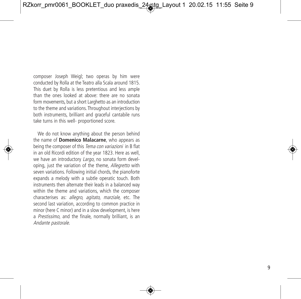composer Joseph Weigl; two operas by him were conducted by Rolla at the Teatro alla Scala around 1815. This duet by Rolla is less pretentious and less ample than the ones looked at above: there are no sonata form movements, but a short Larghetto as an introduction to the theme and variations. Throughout interjections by both instruments, brilliant and graceful cantabile runs take turns in this well- proportioned score.

We do not know anything about the person behind the name of **Domenico Malacarne**, who appears as being the composer of this Tema con variazioni in B flat in an old Ricordi edition of the year 1823. Here as well, we have an introductory Largo, no sonata form developing, just the variation of the theme, Allegretto with seven variations. Following initial chords, the pianoforte expands a melody with a subtle operatic touch. Both instruments then alternate their leads in a balanced way within the theme and variations, which the composer characterises as: allegro, agitato, marziale, etc. The second last variation, according to common practice in minor (here C minor) and in a slow development, is here a Prestissimo, and the finale, normally brilliant, is an Andante pastorale.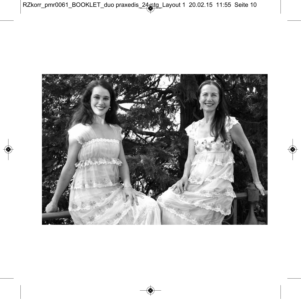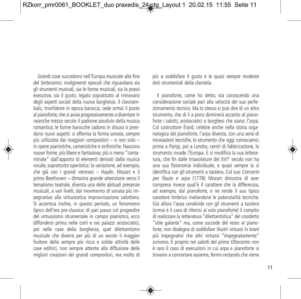Grandi cose succedono nell'Europa musicale alla fine del Settecento: rivolgimenti epocali che riguardano sia gli strumenti musicali, sia le forme musicali, sia la prassi esecutiva, sia il gusto, legato soprattutto al rinnovarsi degli aspetti sociali della nuova borghesia. Il clavicembalo, trionfatore in epoca barocca, cede ormai il posto al pianoforte, che si avvia progressivamente a diventare in neanche mezzo secolo il padrone assoluto della musica romantica; le forme barocche cadono in disuso o prendono nuovi aspetti: si afferma la forma sonata, sempre più utilizzata dai maggiori compositori – e non solo – in opere pianistiche, cameristiche e sinfoniche. Nascono nuove forme, più libere e fantasiose, più o meno "contaminate" dall'apporto di elementi derivati dalla musica vocale, soprattutto operistica: la variazione, ad esempio, che già con i grandi viennesi – Haydn, Mozart e il primo Beethoven – dimostra grande attenzione verso il tematismo teatrale, diventa una delle abituali presenze musicali, a vari livelli, dal movimento di sonata più impegnativo alla virtuosistica improvvisazione salottiera. Si accentua inoltre, in questo periodo, un fenomemo tipico dell'era pre-classica: di pari passo col progredire del virtuosismo strumentale in campo pianistico, ecco diffondersi prima nelle corti e nei palazzi aristocratici, poi nelle case della borghesia, quel dilettantismo musicale che diverrà per più di un secolo il maggior fruitore della sempre più ricca e solida attività delle case editrici, non sempre attente alla diffusione delle migliori creazioni dei grandi compositori, ma molto di

più a soddisfare il gusto e le quasi sempre modeste doti strumentali della clientela.

Il pianoforte, come ho detto, sta conoscendo una considerazione sociale pari alla velocità del suo perfezionamento tecnico. Ma lo stesso si può dire di un altro strumento, che di lì a poco dominerà accanto al pianoforte i salotti, aristocratici o borghesi che siano: l'arpa. Col costruttore Érard, celebre anche nella storia organologica del pianoforte, l'arpa diventa, con una serie di innovazioni tecniche, lo strumento che oggi conosciamo: prima a Parigi, poi a Londra, centri di fabbricazione, lo strumento invade l'Europa. E si modifica la sua letteratura, che fin dalle intavolature del XVI° secolo non ha una sua fisionomia individuale, e quasi sempre la si identifica con gli strumenti a tastiera. Col suo Concerto per flauto e arpa (1778) Mozart dimostra di aver compreso invece qual'è il carattere che la differenzia, ad esempio, dal pianoforte, e ne rende il suo tipico carattere timbrico rivelandone le potenzialità tecniche. Già allora l'arpa condivide con gli strumenti a tastiera (ormai è il caso di riferirsi al solo pianoforte) il compito di realizzare la letteratura "dilettantistica" del cosidetto "stile galante" ma, come succede del resto al pianoforte, non disdegna di soddisfare illustri virtuosi in brani più impegnativi che altri virtuosi "impegnatamente" scrivono. E proprio nei salotti del primo Ottocento non è raro il caso di esecuzioni in cui arpa e pianoforte si trovano a concertare assieme, fermo restando che viene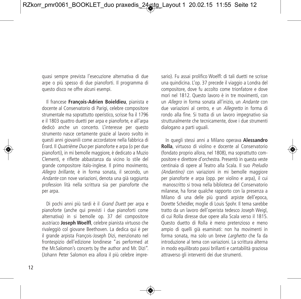quasi sempre prevista l'esecuzione alternativa di due arpe o più spesso di due pianoforti. Il programma di questo disco ne offre alcuni esempi.

Il francese **François-Adrien Boieldieu**, pianista e docente al Conservatorio di Parigi, celebre compositore strumentale ma soprattutto operistico, scrisse fra il 1796 e il 1803 quattro duetti per arpa e pianoforte, e all'arpa dedicò anche un concerto. L'interesse per questo strumento nasce certamente grazie al lavoro svolto in questi anni giovanili come accordatore nella fabbrica di Érard. Il Quatrième Duo per pianoforte e arpa (o per due pianoforti), in mi bemolle maggiore, è dedicato a Muzio Clementi, e riflette abbastanza da vicino lo stile del grande compositore italo-inglese. Il primo movimento, Allegro brillante, è in forma sonata, il secondo, un Andante con nove variazioni, denota una già raggiunta profession lità nella scrittura sia per pianoforte che per arpa.

Di pochi anni più tardi è il Grand Duett per arpa e pianoforte (anche qui previsti i due pianoforti come alternativa) in si bemolle op. 37 del compositore austriaco **Joseph Woelfl**, celebre pianista virtuoso che rivaleggiò col giovane Beethoven. La dedica qui è per il grande arpista François-Joseph Dizi, menzionato nel frontespizio dell'edizione londinese "as performed at the Mr.Salomon's concerts by the author and Mr. Dizi". (Johann Peter Salomon era allora il più celebre impresario). Fu assai prolifico Woelfl: di tali duetti ne scrisse una quindicina. L'op. 37 precede il viaggio a Londra del compositore, dove fu accolto come trionfatore e dove morì nel 1812. Questo lavoro è in tre movimenti, con un Allegro in forma sonata all'inizio, un Andante con due variazioni al centro, e un Allegretto in forma di rondo alla fine. Si tratta di un lavoro impegnativo sia strutturalmente che tecnicamente, dove i due strumenti dialogano a parti uguali.

In quegli stessi anni a Milano operava **Alessandro Rolla**, virtuoso di violino e docente al Conservatorio (fondato proprio allora, nel 1808), ma soprattutto compositore e direttore d'orchestra. Presentò in questa veste centinaia di opere al Teatro alla Scala. Il suo Preludio (Andantino) con variazioni in mi bemolle maggiore per pianoforte e arpa (opp. per violino e arpa), il cui manoscritto si trova nella biblioteca del Conservatorio milanese, ha forse qualche rapporto con la presenza a Milano di una delle più grandi arpiste dell'epoca, Dorette Scheidler, moglie di Louis Spohr. Il tema sarebbe tratto da un lavoro dell'operista tedesco Joseph Weigl, di cui Rolla diresse due opere alla Scala verso il 1815. Questo duetto di Rolla è meno pretenzioso e meno ampio di quelli già esaminati: non ha movimenti in forma sonata, ma solo un breve Larghetto che fa da introduzione al tema con variazioni. La scrittura alterna in modo equilibrato passi brillanti e cantabilità graziosa attraverso gli interventi dei due strumenti.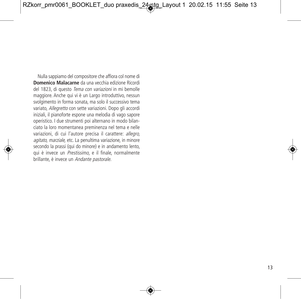Nulla sappiamo del compositore che affiora col nome di **Domenico Malacarne** da una vecchia edizione Ricordi del 1823, di questo Tema con variazioni in mi bemolle maggiore. Anche qui vi è un Largo introduttivo, nessun svolgimento in forma sonata, ma solo il successivo tema variato, Allegretto con sette variazioni. Dopo gli accordi iniziali, il pianoforte espone una melodia di vago sapore operistico. I due strumenti poi alternano in modo bilanciato la loro momentanea preminenza nel tema e nelle variazioni, di cui l'autore precisa il carattere: allegro, agitato, marziale, etc. La penultima variazione, in minore secondo la prassi (qui do minore) e in andamento lento, qui è invece un Prestissimo, e il finale, normalmente brillante, è invece un Andante pastorale.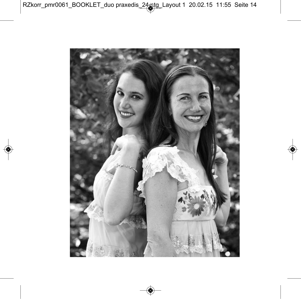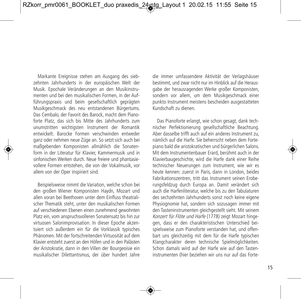Markante Ereignisse stehen am Ausgang des siebzehnten Jahrhunderts in der europäischen Welt der Musik. Epochale Veränderungen an den Musikinstrumenten und bei den musikalischen Formen, in der Aufführungspraxis und beim gesellschaftlich geprägten Musikgeschmack des neu entstandenen Bürgertums. Das Cembalo, der Favorit des Barock, macht dem Pianoforte Platz, das sich bis Mitte des Jahrhunderts zum unumstritten wichtigsten Instrument der Romantik entwickelt. Barocke Formen verschwinden entweder ganz oder nehmen neue Züge an. So setzt sich auch bei maßgebenden Komponisten allmählich die Sonatenform in der Literatur für Klavier, Kammermusik und in sinfonischen Werken durch. Neue freiere und phantasievollere Formen entstehen, die von der Vokalmusik, vor allem von der Oper inspiriert sind.

Beispielsweise nimmt die Variation, welche schon bei den großen Wiener Komponisten Haydn, Mozart und allen voran bei Beethoven unter dem Einfluss theatralischer Thematik steht, unter den musikalischen Formen auf verschiedenen Ebenen einen zunehmend gewohnten Platz ein, vom anspruchsvolleren Sonatensatz bis hin zur virtuosen Salonimprovisation. In dieser Epoche akzentuiert sich außerdem ein für die Vorklassik typisches Phänomen. Mit der fortschreitenden Virtuosität auf dem Klavier entsteht zuerst an den Höfen und in den Palästen der Aristokratie, dann in den Villen der Bourgeoisie ein musikalischer Dilettantismus, der über hundert Jahre die immer umfassendere Aktivität der Verlagshäuser bestimmt, und zwar nicht nur im Hinblick auf die Herausgabe der herausragenden Werke großer Komponisten, sondern vor allem, um dem Musikgeschmack einer punkto Instrument meistens bescheiden ausgestatteten Kundschaft zu dienen.

Das Pianoforte erlangt, wie schon gesagt, dank technischer Perfektionierung gesellschaftliche Beachtung. Aber dasselbe trifft auch auf ein anderes Instrument zu, nämlich auf die Harfe. Sie beherrscht neben dem Fortepiano bald die aristokratischen und bürgerlichen Salons. Mit dem Instrumentenbauer Erard, berühmt auch in der Klavierbaugeschichte, wird die Harfe dank einer Reihe technischer Neuerungen zum Instrument, wie wir es heute kennen: zuerst in Paris, dann in London, beides Fabrikationszentren, tritt das Instrument seinen Eroberungsfeldzug durch Europa an. Damit verändert sich auch die Harfenliteratur, welche bis zu den Tabulaturen des sechzehnten Jahrhunderts sonst noch keine eigene Physiognomie hat, sondern sich sozusagen immer mit den Tasteninstrumenten gleichgestellt sieht. Mit seinem Konzert für Flöte und Harfe (1778) zeigt Mozart hingegen, dass er den charakteristischen Unterschied beispielsweise zum Pianoforte verstanden hat, und offenbart uns gleichzeitig mit dem für die Harfe typischen Klangcharakter deren technische Spielmöglichkeiten. Schon damals wird auf der Harfe wie auf den Tasteninstrumenten (hier beziehen wir uns nur auf das Forte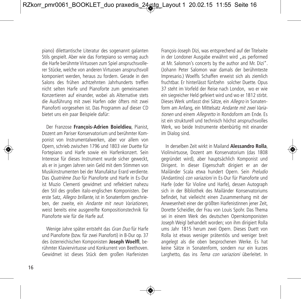piano) dilettantische Literatur des sogenannt galanten Stils gespielt. Aber wie das Fortepiano so vermag auch die Harfe berühmte Virtuosen zum Spiel anspruchsvollerer Stücke, welche von anderen Virtuosen anspruchsvoll komponiert werden, heraus zu fordern. Gerade in den Salons des frühen achtzehnten Jahrhunderts treffen nicht selten Harfe und Pianoforte zum gemeinsamen Konzertieren auf einander, wobei als Alternative stets die Ausführung mit zwei Harfen oder öfters mit zwei Pianoforti vorgesehen ist. Das Programm auf dieser CD bietet uns ein paar Beispiele dafür:

Der Franzose **François-Adrien Boieldieu**, Pianist, Dozent am Pariser Konservatorium und berühmter Komponist von Instrumentalwerken, aber vor allem von Opern, schrieb zwischen 1796 und 1803 vier Duette für Fortepiano und Harfe sowie ein Harfenkonzert. Sein Interesse für dieses Instrument wurde sicher geweckt, als er in jungen Jahren sein Geld mit dem Stimmen von Musikinstrumenten bei der Manufaktur Erard verdiente. Das Quatrième Duo für Pianoforte und Harfe in Es-Dur ist Muzio Clementi gewidmet und reflektiert nahezu den Stil des großen italo-englischen Komponisten. Der erste Satz, Allegro brillante, ist in Sonatenform geschrieben, der zweite, ein Andante mit neun Variationen, weist bereits eine ausgereifte Kompositionstechnik für Pianoforte wie für die Harfe auf.

Wenige Jahre später entsteht das Gran Duo für Harfe und Pianoforte (bzw. für zwei Pianoforti) in B-Dur op. 37 des österreichischen Komponisten **Joseph Woelfl**, berühmter Klaviervirtuose und Konkurrent von Beethoven. Gewidmet ist dieses Stück dem großen Harfenisten François-Joseph Dizi, was entsprechend auf der Titelseite in der Londoner Ausgabe erwähnt wird "as performed at Mr. Salomon's concerts by the author and Mr. Dizi". (Johann Peter Salomon war damals der berühmteste Impresario.) Woelfls Schaffen erweist sich als ziemlich fruchtbar. Er hinterlässt fünfzehn solcher Duette. Opus 37 steht im Vorfeld der Reise nach London, wo er wie ein siegreicher Held gefeiert wird und wo er 1812 stirbt. Dieses Werk umfasst drei Sätze, ein Allegro in Sonatenform am Anfang, ein Mittelsatz Andante mit zwei Variationen und einem Allegretto in Rondoform am Ende. Es ist ein strukturell und technisch höchst anspruchsvolles Werk, wo beide Instrumente ebenbürtig mit einander im Dialog sind.

In derselben Zeit wirkt in Mailand **Alessandro Rolla**, Violinvirtuose, Dozent am Konservatorium (das 1808 gegründet wird), aber hauptsächlich Komponist und Dirigent. In dieser Eigenschaft dirigiert er an der Mailänder Scala etwa hundert Opern. Sein Preludio (Andantino) con variazioni in Es-Dur für Pianoforte und Harfe (oder für Violine und Harfe), dessen Autograph sich in der Bibliothek des Mailänder Konservatoriums befindet, hat vielleicht einen Zusammenhang mit der Anwesenheit einer der größten Harfenistinnen jener Zeit, Dorette Scheidler, der Frau von Louis Spohr. Das Thema sei in einem Werk des deutschen Opernkomponisten Joseph Weigl behandelt worden; von ihm dirigiert Rolla ums Jahr 1815 herum zwei Opern. Dieses Duett von Rolla ist etwas weniger prätentiös und weniger breit angelegt als die oben besprochenen Werke. Es hat keine Sätze in Sonatenform, sondern nur ein kurzes Larghetto, das ins Tema con variazioni überleitet. In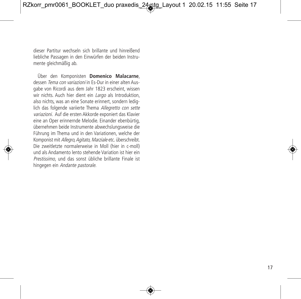dieser Partitur wechseln sich brillante und hinreißend liebliche Passagen in den Einwürfen der beiden Instrumente gleichmäßig ab.

Über den Komponisten **Domenico Malacarne**, dessen Tema con variazioni in Es-Dur in einer alten Ausgabe von Ricordi aus dem Jahr 1823 erscheint, wissen wir nichts. Auch hier dient ein Largo als Introduktion, also nichts, was an eine Sonate erinnert, sondern lediglich das folgende variierte Thema Allegretto con sette variazioni. Auf die ersten Akkorde exponiert das Klavier eine an Oper erinnernde Melodie. Einander ebenbürtig, übernehmen beide Instrumente abwechslungsweise die Führung im Thema und in den Variationen, welche der Komponist mit Allegro, Agitato, Marziale etc. überschreibt. Die zweitletzte normalerweise in Moll (hier in c-moll) und als Andamento lento stehende Variation ist hier ein Prestissimo, und das sonst übliche brillante Finale ist hingegen ein Andante pastorale.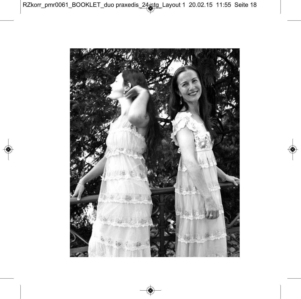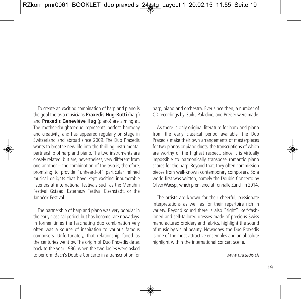To create an exciting combination of harp and piano is the goal the two musicians **Praxedis Hug-Rütti** (harp) and **Praxedis Geneviève Hug** (piano) are aiming at. The mother-daughter-duo represents perfect harmony and creativity, and has appeared regularly on stage in Switzerland and abroad since 2009. The Duo Praxedis wants to breathe new life into the thrilling instrumental partnership of harp and piano. The two instruments are closely related, but are, nevertheless, very different from one another – the combination of the two is, therefore, promising to provide "unheard-of" particular refined musical delights that have kept exciting innumerable listeners at international festivals such as the Menuhin Festival Gstaad, Esterhazy Festival Eisenstadt, or the Janáček Festival

The partnership of harp and piano was very popular in the early classical period, but has become rare nowadays. In former times the fascinating duo combination very often was a source of inspiration to various famous composers. Unfortunately, that relationship faded as the centuries went by. The origin of Duo Praxedis dates back to the year 1996, when the two ladies were asked to perform Bach's Double Concerto in a transcription for harp, piano and orchestra. Ever since then, a number of CD recordings by Guild, Paladino, and Preiser were made.

As there is only original literature for harp and piano from the early classical period available, the Duo Praxedis make their own arrangements of masterpieces for two pianos or piano duets, the transcriptions of which are worthy of the highest respect, since it is virtually impossible to harmonically transpose romantic piano scores for the harp. Beyond that, they often commission pieces from well-known contemporary composers. So a world first was written, namely the Double Concerto by Oliver Waespi, which premiered at Tonhalle Zurich in 2014.

The artists are known for their cheerful, passionate interpretations as well as for their repertoire rich in variety. Beyond sound there is also "sight": self-fashioned and self-tailored dresses made of precious Swiss manufactured broidery and fabrics, highlight the sound of music by visual beauty. Nowadays, the Duo Praxedis is one of the most attractive ensembles and an absolute highlight within the international concert scene.

www.praxedis.ch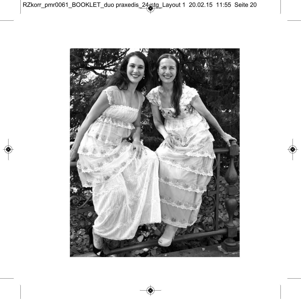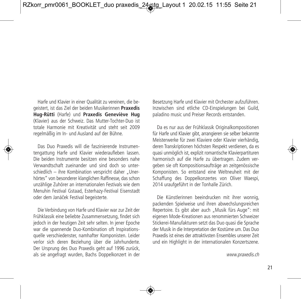Harfe und Klavier in einer Qualität zu vereinen, die begeistert, ist das Ziel der beiden Musikerinnen **Praxedis Hug-Rütti** (Harfe) und **Praxedis Geneviève Hug** (Klavier) aus der Schweiz. Das Mutter-Tochter-Duo ist totale Harmonie mit Kreativität und steht seit 2009 regelmäßig im In- und Ausland auf der Bühne.

Das Duo Praxedis will die faszinierende Instrumentengattung Harfe und Klavier wiederaufleben lassen. Die beiden Instrumente besitzen eine besonders nahe Verwandtschaft zueinander und sind doch so unterschiedlich – ihre Kombination verspricht daher "Unerhörtes" von besonderer klanglichen Raffinesse, das schon unzählige Zuhörer an internationalen Festivals wie dem Menuhin Festival Gstaad, Esterhazy-Festival Eisenstadt oder dem Janáček Festival begeisterte.

Die Verbindung von Harfe und Klavier war zur Zeit der Frühklassik eine beliebte Zusammensetzung, findet sich jedoch in der heutigen Zeit sehr selten. In jener Epoche war die spannende Duo-Kombination oft Inspirationsquelle verschiedenster, namhafter Komponisten. Leider verlor sich deren Beziehung über die Jahrhunderte. Der Ursprung des Duo Praxedis geht auf 1996 zurück, als sie angefragt wurden, Bachs Doppelkonzert in der

Besetzung Harfe und Klavier mit Orchester aufzuführen. Inzwischen sind etliche CD-Einspielungen bei Guild, paladino music und Preiser Records entstanden.

Da es nur aus der Frühklassik Originalkompositionen für Harfe und Klavier gibt, arrangieren sie selber bekannte Meisterwerke für zwei Klaviere oder Klavier vierhändig, deren Transkriptionen höchsten Respekt verdienen, da es quasi unmöglich ist, explizit romantische Klavierpartituren harmonisch auf die Harfe zu übertragen. Zudem vergeben sie oft Kompositionsaufträge an zeitgenössische Komponisten. So entstand eine Weltneuheit mit der Schaffung des Doppelkonzertes von Oliver Waespi, 2014 uraufgeführt in der Tonhalle Zürich.

Die Künstlerinnen beeindrucken mit ihrer wonnig, packenden Spielweise und ihren abwechslungsreichen Repertoire. Es gibt aber auch "Musik fürs Auge": mit eigenen Mode-Kreationen aus renommierten Schweizer Stickerei-Manufakturen setzt das Duo quasi die Sprache der Musik in die Interpretation der Kostüme um. Das Duo Praxedis ist eines der attraktivsten Ensembles unserer Zeit und ein Highlight in der internationalen Konzertszene.

www.praxedis.ch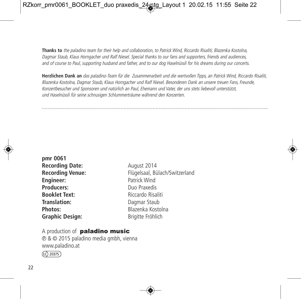**Thanks to** the paladino team for their help and collaboration, to Patrick Wind, Riccardo Risaliti, Blazenka Kostolna, Dagmar Staub, Klaus Horngacher und Ralf Niesel. Special thanks to our fans and supporters, friends and audiences, and of course to Paul, supporting husband and father, and to our dog Haselnüssli for his dreams during our concerts.

**Herzlichen Dank an** das paladino-Team für die Zusammenarbeit und die wertvollen Tipps, an Patrick Wind, Riccardo Risaliti, Blazenka Kostolna, Dagmar Staub, Klaus Horngacher und Ralf Niesel. Besonderen Dank an unsere treuen Fans, Freunde, Konzertbesucher und Sponsoren und natürlich an Paul, Ehemann und Vater, der uns stets liebevoll unterstützt, und Haselnüssli für seine schnusigen Schlummerträume während den Konzerten.

**pmr 0061 Recording Date:** August 2014 **Recording Venue:** Flügelsaal, Bülach/Switzerland **Engineer:** Patrick Wind **Producers:** Duo Praxedis<br> **Rooklet Text:** Riccardo Risa **Translation:** Dagmar Staub **Photos:** Blazenka Kostolna **Graphic Design:** Brigitte Fröhlich

**Booklet Text:** Riccardo Risaliti

A production of **paladino music** ® & © 2015 paladino media gmbh, vienna www.paladino.at